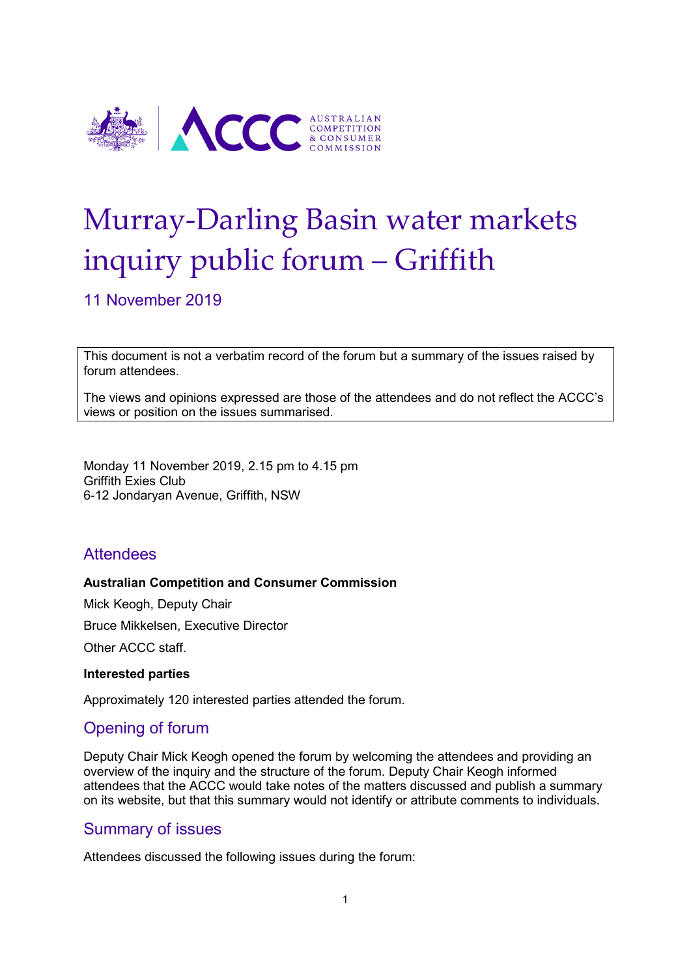

# Murray-Darling Basin water markets inquiry public forum – Griffith

11 November 2019

This document is not a verbatim record of the forum but a summary of the issues raised by forum attendees.

The views and opinions expressed are those of the attendees and do not reflect the ACCC's views or position on the issues summarised.

Monday 11 November 2019, 2.15 pm to 4.15 pm Griffith Exies Club 6-12 Jondaryan Avenue, Griffith, NSW

# **Attendees**

#### **Australian Competition and Consumer Commission**

Mick Keogh, Deputy Chair Bruce Mikkelsen, Executive Director Other ACCC staff.

#### **Interested parties**

Approximately 120 interested parties attended the forum.

# Opening of forum

Deputy Chair Mick Keogh opened the forum by welcoming the attendees and providing an overview of the inquiry and the structure of the forum. Deputy Chair Keogh informed attendees that the ACCC would take notes of the matters discussed and publish a summary on its website, but that this summary would not identify or attribute comments to individuals.

# Summary of issues

Attendees discussed the following issues during the forum: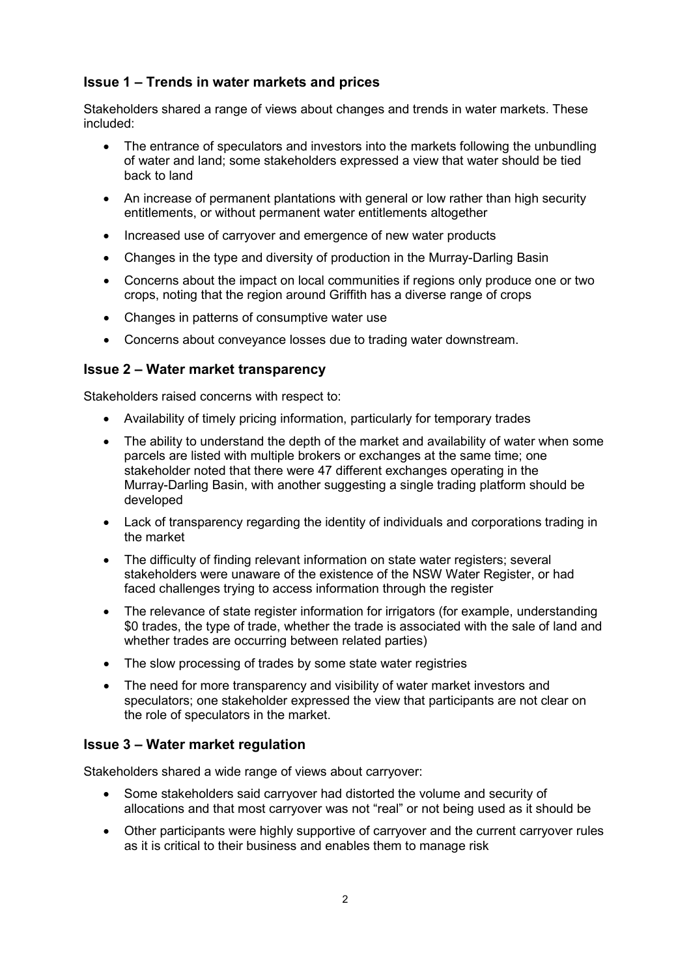## **Issue 1 – Trends in water markets and prices**

Stakeholders shared a range of views about changes and trends in water markets. These included:

- The entrance of speculators and investors into the markets following the unbundling of water and land; some stakeholders expressed a view that water should be tied back to land
- An increase of permanent plantations with general or low rather than high security entitlements, or without permanent water entitlements altogether
- Increased use of carryover and emergence of new water products
- Changes in the type and diversity of production in the Murray-Darling Basin
- Concerns about the impact on local communities if regions only produce one or two crops, noting that the region around Griffith has a diverse range of crops
- Changes in patterns of consumptive water use
- Concerns about conveyance losses due to trading water downstream.

### **Issue 2 – Water market transparency**

Stakeholders raised concerns with respect to:

- Availability of timely pricing information, particularly for temporary trades
- The ability to understand the depth of the market and availability of water when some parcels are listed with multiple brokers or exchanges at the same time; one stakeholder noted that there were 47 different exchanges operating in the Murray-Darling Basin, with another suggesting a single trading platform should be developed
- Lack of transparency regarding the identity of individuals and corporations trading in the market
- The difficulty of finding relevant information on state water registers; several stakeholders were unaware of the existence of the NSW Water Register, or had faced challenges trying to access information through the register
- The relevance of state register information for irrigators (for example, understanding \$0 trades, the type of trade, whether the trade is associated with the sale of land and whether trades are occurring between related parties)
- The slow processing of trades by some state water registries
- The need for more transparency and visibility of water market investors and speculators; one stakeholder expressed the view that participants are not clear on the role of speculators in the market.

## **Issue 3 – Water market regulation**

Stakeholders shared a wide range of views about carryover:

- Some stakeholders said carryover had distorted the volume and security of allocations and that most carryover was not "real" or not being used as it should be
- Other participants were highly supportive of carryover and the current carryover rules as it is critical to their business and enables them to manage risk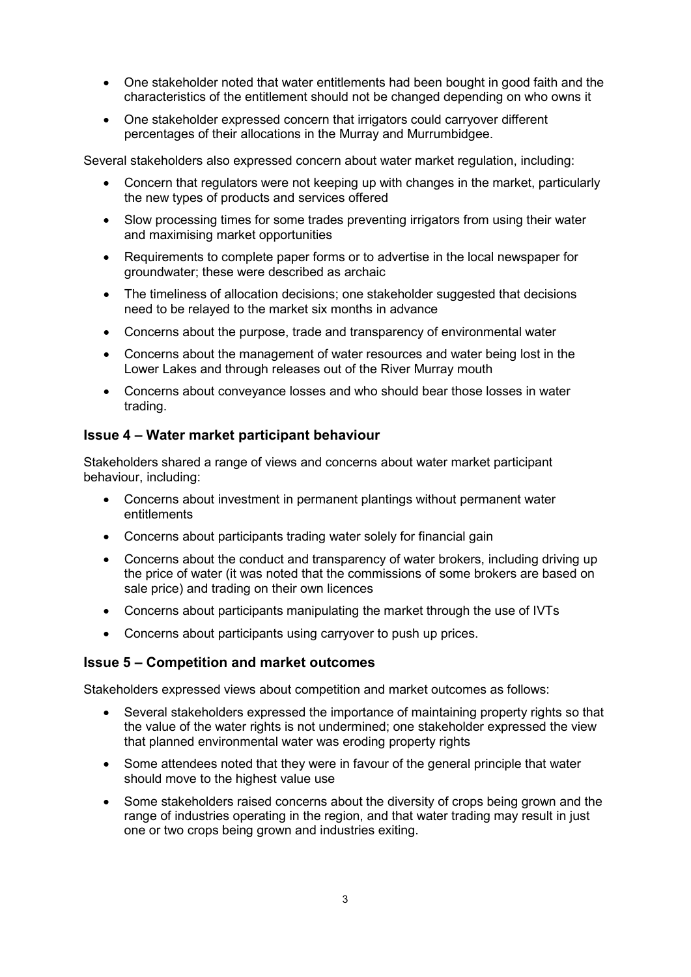- One stakeholder noted that water entitlements had been bought in good faith and the characteristics of the entitlement should not be changed depending on who owns it
- One stakeholder expressed concern that irrigators could carryover different percentages of their allocations in the Murray and Murrumbidgee.

Several stakeholders also expressed concern about water market regulation, including:

- Concern that regulators were not keeping up with changes in the market, particularly the new types of products and services offered
- Slow processing times for some trades preventing irrigators from using their water and maximising market opportunities
- Requirements to complete paper forms or to advertise in the local newspaper for groundwater; these were described as archaic
- The timeliness of allocation decisions; one stakeholder suggested that decisions need to be relayed to the market six months in advance
- Concerns about the purpose, trade and transparency of environmental water
- Concerns about the management of water resources and water being lost in the Lower Lakes and through releases out of the River Murray mouth
- Concerns about conveyance losses and who should bear those losses in water trading.

#### **Issue 4 – Water market participant behaviour**

Stakeholders shared a range of views and concerns about water market participant behaviour, including:

- Concerns about investment in permanent plantings without permanent water entitlements
- Concerns about participants trading water solely for financial gain
- Concerns about the conduct and transparency of water brokers, including driving up the price of water (it was noted that the commissions of some brokers are based on sale price) and trading on their own licences
- Concerns about participants manipulating the market through the use of IVTs
- Concerns about participants using carryover to push up prices.

#### **Issue 5 – Competition and market outcomes**

Stakeholders expressed views about competition and market outcomes as follows:

- Several stakeholders expressed the importance of maintaining property rights so that the value of the water rights is not undermined; one stakeholder expressed the view that planned environmental water was eroding property rights
- Some attendees noted that they were in favour of the general principle that water should move to the highest value use
- Some stakeholders raised concerns about the diversity of crops being grown and the range of industries operating in the region, and that water trading may result in just one or two crops being grown and industries exiting.